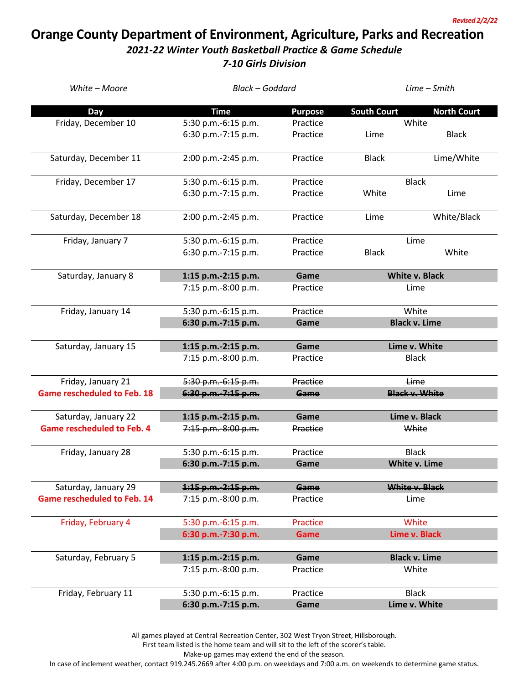*Revised 2/2/22*

## **Orange County Department of Environment, Agriculture, Parks and Recreation** *2021-22 Winter Youth Basketball Practice & Game Schedule*

*7-10 Girls Division*

| White - Moore                      | <b>Black - Goddard</b>                     |                 | Lime - Smith                  |                       |  |
|------------------------------------|--------------------------------------------|-----------------|-------------------------------|-----------------------|--|
| <b>Day</b>                         | <b>Time</b>                                | <b>Purpose</b>  | <b>South Court</b>            | <b>North Court</b>    |  |
| Friday, December 10                | 5:30 p.m.-6:15 p.m.                        | Practice        |                               | White                 |  |
|                                    | 6:30 p.m.-7:15 p.m.                        | Practice        | Lime                          | <b>Black</b>          |  |
| Saturday, December 11              | 2:00 p.m.-2:45 p.m.                        | Practice        | <b>Black</b>                  | Lime/White            |  |
| Friday, December 17                | 5:30 p.m.-6:15 p.m.                        | Practice        |                               | <b>Black</b>          |  |
|                                    | 6:30 p.m.-7:15 p.m.                        | Practice        | White                         | Lime                  |  |
| Saturday, December 18              | 2:00 p.m.-2:45 p.m.                        | Practice        | Lime                          | White/Black           |  |
| Friday, January 7                  | 5:30 p.m.-6:15 p.m.                        | Practice        | Lime                          |                       |  |
|                                    | 6:30 p.m.-7:15 p.m.                        | Practice        | <b>Black</b>                  | White                 |  |
| Saturday, January 8                | 1:15 p.m.-2:15 p.m.                        | Game            | <b>White v. Black</b>         |                       |  |
|                                    | 7:15 p.m.-8:00 p.m.                        | Practice        | Lime                          |                       |  |
| Friday, January 14                 | 5:30 p.m.-6:15 p.m.                        | Practice        | White                         |                       |  |
|                                    | 6:30 p.m.-7:15 p.m.                        | Game            | <b>Black v. Lime</b>          |                       |  |
|                                    |                                            | Game            |                               |                       |  |
| Saturday, January 15               | 1:15 p.m.-2:15 p.m.<br>7:15 p.m.-8:00 p.m. | Practice        | Lime v. White<br><b>Black</b> |                       |  |
|                                    |                                            |                 |                               |                       |  |
| Friday, January 21                 | 5:30 p.m.-6:15 p.m.                        | Practice        |                               | Lime                  |  |
| <b>Game rescheduled to Feb. 18</b> | 6:30 p.m. 7:15 p.m.                        | Game            |                               | <b>Black v. White</b> |  |
| Saturday, January 22               | 1:15 p.m. 2:15 p.m.                        | Game            | Lime v. Black                 |                       |  |
| <b>Game rescheduled to Feb. 4</b>  | 7:15 p.m.-8:00 p.m.                        | Practice        |                               | White                 |  |
| Friday, January 28                 | 5:30 p.m.-6:15 p.m.                        | Practice        | <b>Black</b>                  |                       |  |
|                                    | 6:30 p.m.-7:15 p.m.                        | Game            | White v. Lime                 |                       |  |
| Saturday, January 29               | $1:15 p.m. -2:15 p.m.$                     | Game            |                               | White v. Black        |  |
| <b>Game rescheduled to Feb. 14</b> | 7:15 p.m.-8:00 p.m.                        | Practice        | Lime                          |                       |  |
| Friday, February 4                 | 5:30 p.m.-6:15 p.m.                        | <b>Practice</b> | White                         |                       |  |
|                                    | 6:30 p.m.-7:30 p.m.                        | Game            | Lime v. Black                 |                       |  |
| Saturday, February 5               | 1:15 p.m.-2:15 p.m.                        | Game            |                               | <b>Black v. Lime</b>  |  |
|                                    | 7:15 p.m.-8:00 p.m.                        | Practice        | White                         |                       |  |
| Friday, February 11                | 5:30 p.m.-6:15 p.m.                        | Practice        |                               | <b>Black</b>          |  |
|                                    | 6:30 p.m.-7:15 p.m.                        | Game            | Lime v. White                 |                       |  |

All games played at Central Recreation Center, 302 West Tryon Street, Hillsborough.

First team listed is the home team and will sit to the left of the scorer's table.

Make-up games may extend the end of the season.

In case of inclement weather, contact 919.245.2669 after 4:00 p.m. on weekdays and 7:00 a.m. on weekends to determine game status.